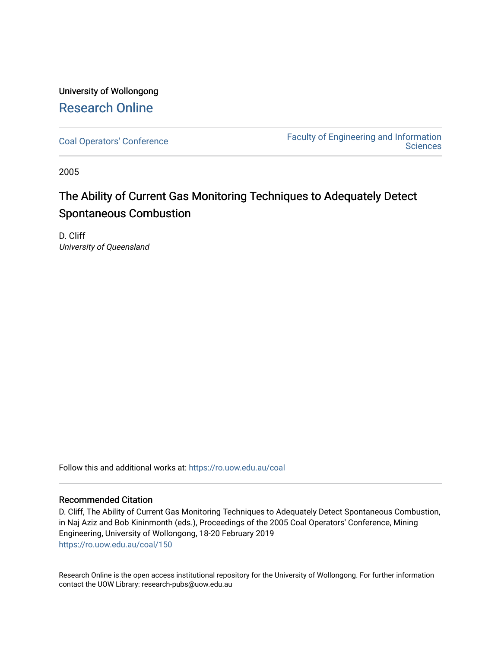# University of Wollongong [Research Online](https://ro.uow.edu.au/)

[Coal Operators' Conference](https://ro.uow.edu.au/coal) [Faculty of Engineering and Information](https://ro.uow.edu.au/eis)  **Sciences** 

2005

# The Ability of Current Gas Monitoring Techniques to Adequately Detect Spontaneous Combustion

D. Cliff University of Queensland

Follow this and additional works at: [https://ro.uow.edu.au/coal](https://ro.uow.edu.au/coal?utm_source=ro.uow.edu.au%2Fcoal%2F150&utm_medium=PDF&utm_campaign=PDFCoverPages) 

## Recommended Citation

D. Cliff, The Ability of Current Gas Monitoring Techniques to Adequately Detect Spontaneous Combustion, in Naj Aziz and Bob Kininmonth (eds.), Proceedings of the 2005 Coal Operators' Conference, Mining Engineering, University of Wollongong, 18-20 February 2019 [https://ro.uow.edu.au/coal/150](https://ro.uow.edu.au/coal/150?utm_source=ro.uow.edu.au%2Fcoal%2F150&utm_medium=PDF&utm_campaign=PDFCoverPages) 

Research Online is the open access institutional repository for the University of Wollongong. For further information contact the UOW Library: research-pubs@uow.edu.au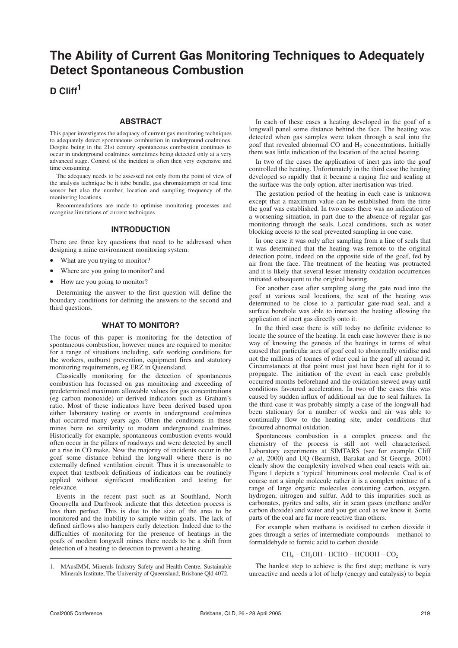# **The Ability of Current Gas Monitoring Techniques to Adequately Detect Spontaneous Combustion**

# **D Cliff<sup>1</sup>**

#### **ABSTRACT**

This paper investigates the adequacy of current gas monitoring techniques to adequately detect spontaneous combustion in underground coalmines. Despite being in the 21st century spontaneous combustion continues to occur in underground coalmines sometimes being detected only at a very advanced stage. Control of the incident is often then very expensive and time consuming.

The adequacy needs to be assessed not only from the point of view of the analysis technique be it tube bundle, gas chromatograph or real time sensor but also the number, location and sampling frequency of the monitoring locations.

Recommendations are made to optimise monitoring processes and recognise limitations of current techniques.

### **INTRODUCTION**

There are three key questions that need to be addressed when designing a mine environment monitoring system:

- What are you trying to monitor?
- Where are you going to monitor? and
- How are you going to monitor?

Determining the answer to the first question will define the boundary conditions for defining the answers to the second and third questions.

#### **WHAT TO MONITOR?**

The focus of this paper is monitoring for the detection of spontaneous combustion, however mines are required to monitor for a range of situations including, safe working conditions for the workers, outburst prevention, equipment fires and statutory monitoring requirements, eg ERZ in Queensland.

Classically monitoring for the detection of spontaneous combustion has focussed on gas monitoring and exceeding of predetermined maximum allowable values for gas concentrations (eg carbon monoxide) or derived indicators such as Graham's ratio. Most of these indicators have been derived based upon either laboratory testing or events in underground coalmines that occurred many years ago. Often the conditions in these mines bore no similarity to modern underground coalmines. Historically for example, spontaneous combustion events would often occur in the pillars of roadways and were detected by smell or a rise in CO make. Now the majority of incidents occur in the goaf some distance behind the longwall where there is no externally defined ventilation circuit. Thus it is unreasonable to expect that textbook definitions of indicators can be routinely applied without significant modification and testing for relevance.

Events in the recent past such as at Southland, North Goonyella and Dartbrook indicate that this detection process is less than perfect. This is due to the size of the area to be monitored and the inability to sample within goafs. The lack of defined airflows also hampers early detection. Indeed due to the difficulties of monitoring for the presence of heatings in the goafs of modern longwall mines there needs to be a shift from detection of a heating to detection to prevent a heating.

In each of these cases a heating developed in the goaf of a longwall panel some distance behind the face. The heating was detected when gas samples were taken through a seal into the goaf that revealed abnormal CO and H<sub>2</sub> concentrations. Initially there was little indication of the location of the actual heating.

In two of the cases the application of inert gas into the goaf controlled the heating. Unfortunately in the third case the heating developed so rapidly that it became a raging fire and sealing at the surface was the only option, after inertisation was tried.

The gestation period of the heating in each case is unknown except that a maximum value can be established from the time the goaf was established. In two cases there was no indication of a worsening situation, in part due to the absence of regular gas monitoring through the seals. Local conditions, such as water blocking access to the seal prevented sampling in one case.

In one case it was only after sampling from a line of seals that it was determined that the heating was remote to the original detection point, indeed on the opposite side of the goaf, fed by air from the face. The treatment of the heating was protracted and it is likely that several lesser intensity oxidation occurrences initiated subsequent to the original heating.

For another case after sampling along the gate road into the goaf at various seal locations, the seat of the heating was determined to be close to a particular gate-road seal, and a surface borehole was able to intersect the heating allowing the application of inert gas directly onto it.

In the third case there is still today no definite evidence to locate the source of the heating. In each case however there is no way of knowing the genesis of the heatings in terms of what caused that particular area of goaf coal to abnormally oxidise and not the millions of tonnes of other coal in the goaf all around it. Circumstances at that point must just have been right for it to propagate. The initiation of the event in each case probably occurred months beforehand and the oxidation stewed away until conditions favoured acceleration. In two of the cases this was caused by sudden influx of additional air due to seal failures. In the third case it was probably simply a case of the longwall had been stationary for a number of weeks and air was able to continually flow to the heating site, under conditions that favoured abnormal oxidation.

Spontaneous combustion is a complex process and the chemistry of the process is still not well characterised. Laboratory experiments at SIMTARS (see for example Cliff *et al*, 2000) and UQ (Beamish, Barakat and St George, 2001) clearly show the complexity involved when coal reacts with air. Figure 1 depicts a 'typical' bituminous coal molecule. Coal is of course not a simple molecule rather it is a complex mixture of a range of large organic molecules containing carbon, oxygen, hydrogen, nitrogen and sulfur. Add to this impurities such as carbonates, pyrites and salts, stir in seam gases (methane and/or carbon dioxide) and water and you get coal as we know it. Some parts of the coal are far more reactive than others.

For example when methane is oxidised to carbon dioxide it goes through a series of intermediate compounds – methanol to formaldehyde to formic acid to carbon dioxide.

#### $CH<sub>4</sub> - CH<sub>3</sub>OH - HCHO - HCOOH - CO<sub>2</sub>$

The hardest step to achieve is the first step; methane is very unreactive and needs a lot of help (energy and catalysis) to begin

<sup>1.</sup> MAusIMM, Minerals Industry Safety and Health Centre, Sustainable Minerals Institute, The University of Queensland, Brisbane Qld 4072.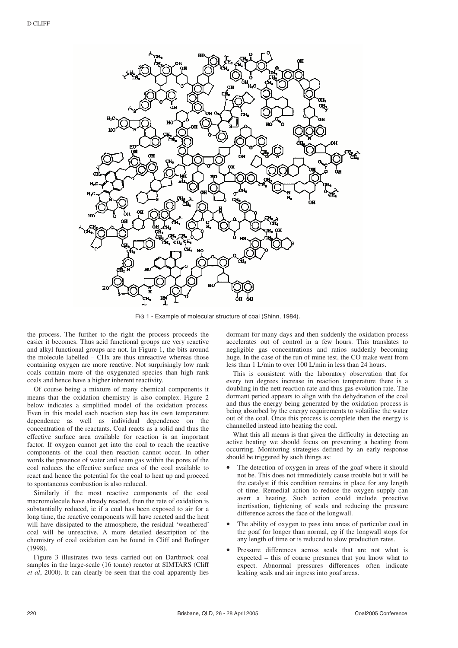

FIG 1 - Example of molecular structure of coal (Shinn, 1984).

the process. The further to the right the process proceeds the easier it becomes. Thus acid functional groups are very reactive and alkyl functional groups are not. In Figure 1, the bits around the molecule labelled  $-$  CHx are thus unreactive whereas those containing oxygen are more reactive. Not surprisingly low rank coals contain more of the oxygenated species than high rank coals and hence have a higher inherent reactivity.

Of course being a mixture of many chemical components it means that the oxidation chemistry is also complex. Figure 2 below indicates a simplified model of the oxidation process. Even in this model each reaction step has its own temperature dependence as well as individual dependence on the concentration of the reactants. Coal reacts as a solid and thus the effective surface area available for reaction is an important factor. If oxygen cannot get into the coal to reach the reactive components of the coal then reaction cannot occur. In other words the presence of water and seam gas within the pores of the coal reduces the effective surface area of the coal available to react and hence the potential for the coal to heat up and proceed to spontaneous combustion is also reduced.

Similarly if the most reactive components of the coal macromolecule have already reacted, then the rate of oxidation is substantially reduced, ie if a coal has been exposed to air for a long time, the reactive components will have reacted and the heat will have dissipated to the atmosphere, the residual 'weathered' coal will be unreactive. A more detailed description of the chemistry of coal oxidation can be found in Cliff and Bofinger (1998).

Figure 3 illustrates two tests carried out on Dartbrook coal samples in the large-scale (16 tonne) reactor at SIMTARS (Cliff *et al*, 2000). It can clearly be seen that the coal apparently lies dormant for many days and then suddenly the oxidation process accelerates out of control in a few hours. This translates to negligible gas concentrations and ratios suddenly becoming huge. In the case of the run of mine test, the CO make went from less than 1 L/min to over 100 L/min in less than 24 hours.

This is consistent with the laboratory observation that for every ten degrees increase in reaction temperature there is a doubling in the nett reaction rate and thus gas evolution rate. The dormant period appears to align with the dehydration of the coal and thus the energy being generated by the oxidation process is being absorbed by the energy requirements to volatilise the water out of the coal. Once this process is complete then the energy is channelled instead into heating the coal.

What this all means is that given the difficulty in detecting an active heating we should focus on preventing a heating from occurring. Monitoring strategies defined by an early response should be triggered by such things as:

- The detection of oxygen in areas of the goaf where it should not be. This does not immediately cause trouble but it will be the catalyst if this condition remains in place for any length of time. Remedial action to reduce the oxygen supply can avert a heating. Such action could include proactive inertisation, tightening of seals and reducing the pressure difference across the face of the longwall.
- The ability of oxygen to pass into areas of particular coal in the goaf for longer than normal, eg if the longwall stops for any length of time or is reduced to slow production rates.
- Pressure differences across seals that are not what is expected – this of course presumes that you know what to expect. Abnormal pressures differences often indicate leaking seals and air ingress into goaf areas.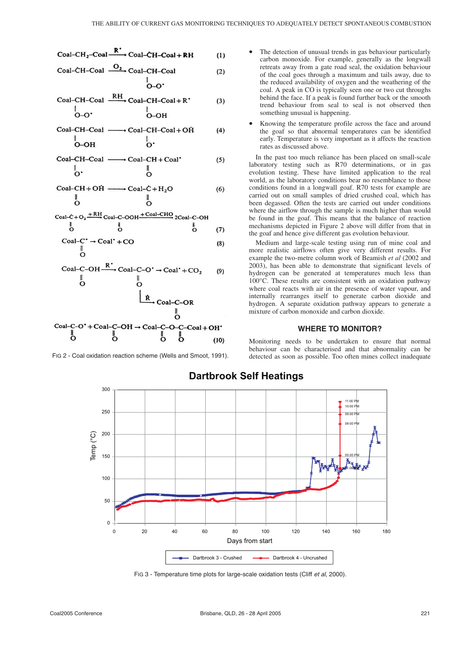$$
Coal-CH2-Coal \xrightarrow{\mathbf{R}^{\bullet}} Coal-CH-Coal+RH
$$
 (1)

$$
Coal-CH-Coal \xrightarrow{O_2} Coal-CH-Coal
$$
 (2)

 $O-O$ 

Coal–CH–Coal

\n
$$
\begin{array}{ccc}\n & \text{RH} & \text{Coal–CH–Coal} + R \\
 & \downarrow & \downarrow & \text{O–OH} \\
\end{array}
$$
\n(3)

\n
$$
\text{Coal}-\text{CH}-\text{Coal} \longrightarrow \text{Coal}-\text{CH}-\text{Coal}+\text{OH}
$$
\n  
\n $\downarrow$ \n  
\n $\downarrow$ \n  
\n $\downarrow$ \n  
\n $\downarrow$ \n  
\n $\downarrow$ \n  
\n $\downarrow$ \n  
\n $\downarrow$ \n  
\n $\downarrow$ \n

$$
Coal-CH-Coal \longrightarrow Coal-CH+Coal
$$
 (5)

$$
Coal-CH+OH \xrightarrow{\qquad \qquad } Coal-C+H_2O \tag{6}
$$

$$
\begin{array}{ccc}\n\text{Coal-C+O}_2 \xrightarrow{\text{+ RH}} \text{Coal-C-OOH} \xrightarrow{\text{+Coal-CHO}} & 2\text{Coal-C-OH} \\
\downarrow{0} & 0 & 0 & (7)\n\end{array}
$$

$$
\begin{array}{c}\n\text{Coal--}^{\bullet} \rightarrow \text{Coal}^{\bullet} + \text{CO} \\
\parallel \\
\bullet\n\end{array} \tag{8}
$$

\n
$$
\text{Coal--C-OH} \xrightarrow{\mathbf{K}} \text{Coal--C-O'} \rightarrow \text{Coal'} + \text{CO}_2
$$
 (9)\n

\n\n $\begin{array}{c}\n \parallel \\
 \text{O} \\
 \end{array}$ \n

\n\n $\begin{array}{c}\n \parallel \\
 \text{O} \\
 \end{array}$ \n

\n\n $\begin{array}{c}\n \parallel \\
 \text{O} \\
 \end{array}$ \n

\n\n $\text{Coal--C-OR}$ \n

\n\n $\begin{array}{c}\n \text{O} \\
 \text{O} \\
 \end{array}$ \n

\n\n $\text{Coal--C-OR}$ \n

\n\n $\begin{array}{c}\n \text{O} \\
 \text{O} \\
 \end{array}$ \n

\n\n $\text{Coal--C-OH} \rightarrow \text{Coal--C-O-C-coal} + \text{OH'}^* \quad \text{O} \\
 \end{array}$ \n

FIG 2 - Coal oxidation reaction scheme (Wells and Smoot, 1991).

ő

ő

 $\overline{6}$ 

- The detection of unusual trends in gas behaviour particularly carbon monoxide. For example, generally as the longwall retreats away from a gate road seal, the oxidation behaviour of the coal goes through a maximum and tails away, due to the reduced availability of oxygen and the weathering of the coal. A peak in CO is typically seen one or two cut throughs behind the face. If a peak is found further back or the smooth trend behaviour from seal to seal is not observed then something unusual is happening.
- Knowing the temperature profile across the face and around the goaf so that abnormal temperatures can be identified early. Temperature is very important as it affects the reaction rates as discussed above.

In the past too much reliance has been placed on small-scale laboratory testing such as R70 determinations, or in gas evolution testing. These have limited application to the real world, as the laboratory conditions bear no resemblance to those conditions found in a longwall goaf. R70 tests for example are carried out on small samples of dried crushed coal, which has been degassed. Often the tests are carried out under conditions where the airflow through the sample is much higher than would be found in the goaf. This means that the balance of reaction mechanisms depicted in Figure 2 above will differ from that in the goaf and hence give different gas evolution behaviour.

Medium and large-scale testing using run of mine coal and more realistic airflows often give very different results. For example the two-metre column work of Beamish *et al* (2002 and 2003), has been able to demonstrate that significant levels of hydrogen can be generated at temperatures much less than 100°C. These results are consistent with an oxidation pathway where coal reacts with air in the presence of water vapour, and internally rearranges itself to generate carbon dioxide and hydrogen. A separate oxidation pathway appears to generate a mixture of carbon monoxide and carbon dioxide.

#### **WHERE TO MONITOR?**

Monitoring needs to be undertaken to ensure that normal behaviour can be characterised and that abnormality can be detected as soon as possible. Too often mines collect inadequate



**Dartbrook Self Heatings**

 $(10)$ 

FIG 3 - Temperature time plots for large-scale oxidation tests (Cliff et al, 2000).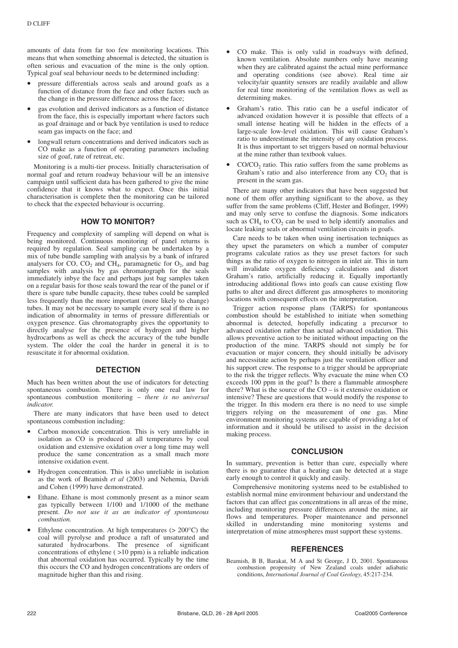amounts of data from far too few monitoring locations. This means that when something abnormal is detected, the situation is often serious and evacuation of the mine is the only option. Typical goaf seal behaviour needs to be determined including:

- pressure differentials across seals and around goafs as a function of distance from the face and other factors such as the change in the pressure difference across the face;
- gas evolution and derived indicators as a function of distance from the face, this is especially important where factors such as goaf drainage and or back bye ventilation is used to reduce seam gas impacts on the face; and
- longwall return concentrations and derived indicators such as CO make as a function of operating parameters including size of goaf, rate of retreat, etc.

Monitoring is a multi-tier process. Initially characterisation of normal goaf and return roadway behaviour will be an intensive campaign until sufficient data has been gathered to give the mine confidence that it knows what to expect. Once this initial characterisation is complete then the monitoring can be tailored to check that the expected behaviour is occurring.

#### **HOW TO MONITOR?**

Frequency and complexity of sampling will depend on what is being monitored. Continuous monitoring of panel returns is required by regulation. Seal sampling can be undertaken by a mix of tube bundle sampling with analysis by a bank of infrared analysers for CO,  $CO_2$  and  $CH_4$ , paramagnetic for  $O_2$ , and bag samples with analysis by gas chromatograph for the seals immediately inbye the face and perhaps just bag samples taken on a regular basis for those seals toward the rear of the panel or if there is spare tube bundle capacity, these tubes could be sampled less frequently than the more important (more likely to change) tubes. It may not be necessary to sample every seal if there is no indication of abnormality in terms of pressure differentials or oxygen presence. Gas chromatography gives the opportunity to directly analyse for the presence of hydrogen and higher hydrocarbons as well as check the accuracy of the tube bundle system. The older the coal the harder in general it is to resuscitate it for abnormal oxidation.

### **DETECTION**

Much has been written about the use of indicators for detecting spontaneous combustion. There is only one real law for spontaneous combustion monitoring – *there is no universal indicator*.

There are many indicators that have been used to detect spontaneous combustion including:

- Carbon monoxide concentration. This is very unreliable in isolation as CO is produced at all temperatures by coal oxidation and extensive oxidation over a long time may well produce the same concentration as a small much more intensive oxidation event.
- Hydrogen concentration. This is also unreliable in isolation as the work of Beamish *et al* (2003) and Nehemia, Davidi and Cohen (1999) have demonstrated.
- Ethane. Ethane is most commonly present as a minor seam gas typically between 1/100 and 1/1000 of the methane present. *Do not use it as an indicator of spontaneous combustion.*
- Ethylene concentration. At high temperatures  $(> 200^{\circ}C)$  the coal will pyrolyse and produce a raft of unsaturated and saturated hydrocarbons. The presence of significant concentrations of ethylene ( >10 ppm) is a reliable indication that abnormal oxidation has occurred. Typically by the time this occurs the CO and hydrogen concentrations are orders of magnitude higher than this and rising.
- CO make. This is only valid in roadways with defined, known ventilation. Absolute numbers only have meaning when they are calibrated against the actual mine performance and operating conditions (see above). Real time air velocity/air quantity sensors are readily available and allow for real time monitoring of the ventilation flows as well as determining makes.
- Graham's ratio. This ratio can be a useful indicator of advanced oxidation however it is possible that effects of a small intense heating will be hidden in the effects of a large-scale low-level oxidation. This will cause Graham's ratio to underestimate the intensity of any oxidation process. It is thus important to set triggers based on normal behaviour at the mine rather than textbook values.
- CO/CO<sub>2</sub> ratio. This ratio suffers from the same problems as Graham's ratio and also interference from any  $CO<sub>2</sub>$  that is present in the seam gas.

There are many other indicators that have been suggested but none of them offer anything significant to the above, as they suffer from the same problems (Cliff, Hester and Bofinger, 1999) and may only serve to confuse the diagnosis. Some indicators such as  $CH_4$  to  $CO_2$  can be used to help identify anomalies and locate leaking seals or abnormal ventilation circuits in goafs.

Care needs to be taken when using inertisation techniques as they upset the parameters on which a number of computer programs calculate ratios as they use preset factors for such things as the ratio of oxygen to nitrogen in inlet air. This in turn will invalidate oxygen deficiency calculations and distort Graham's ratio, artificially reducing it. Equally importantly introducing additional flows into goafs can cause existing flow paths to alter and direct different gas atmospheres to monitoring locations with consequent effects on the interpretation.

Trigger action response plans (TARPS) for spontaneous combustion should be established to initiate when something abnormal is detected, hopefully indicating a precursor to advanced oxidation rather than actual advanced oxidation. This allows preventive action to be initiated without impacting on the production of the mine. TARPS should not simply be for evacuation or major concern, they should initially be advisory and necessitate action by perhaps just the ventilation officer and his support crew. The response to a trigger should be appropriate to the risk the trigger reflects. Why evacuate the mine when CO exceeds 100 ppm in the goaf? Is there a flammable atmosphere there? What is the source of the CO – is it extensive oxidation or intensive? These are questions that would modify the response to the trigger. In this modern era there is no need to use simple triggers relying on the measurement of one gas. Mine environment monitoring systems are capable of providing a lot of information and it should be utilised to assist in the decision making process.

#### **CONCLUSION**

In summary, prevention is better than cure, especially where there is no guarantee that a heating can be detected at a stage early enough to control it quickly and easily.

Comprehensive monitoring systems need to be established to establish normal mine environment behaviour and understand the factors that can affect gas concentrations in all areas of the mine, including monitoring pressure differences around the mine, air flows and temperatures. Proper maintenance and personnel skilled in understanding mine monitoring systems and interpretation of mine atmospheres must support these systems.

### **REFERENCES**

Beamish, B B, Barakat, M A and St George, J D, 2001. Spontaneous combustion propensity of New Zealand coals under adiabatic conditions, *International Journal of Coal Geology*, 45:217-234.